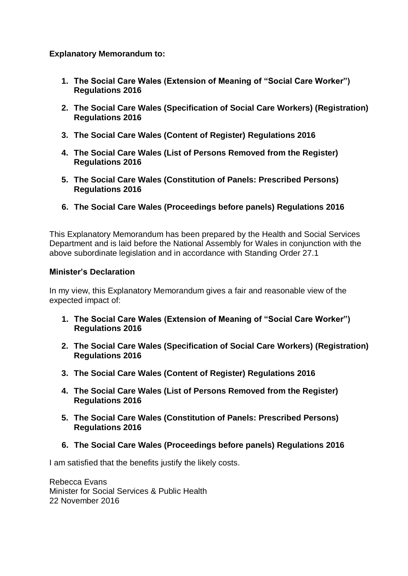## **Explanatory Memorandum to:**

- **1. The Social Care Wales (Extension of Meaning of "Social Care Worker") Regulations 2016**
- **2. The Social Care Wales (Specification of Social Care Workers) (Registration) Regulations 2016**
- **3. The Social Care Wales (Content of Register) Regulations 2016**
- **4. The Social Care Wales (List of Persons Removed from the Register) Regulations 2016**
- **5. The Social Care Wales (Constitution of Panels: Prescribed Persons) Regulations 2016**
- **6. The Social Care Wales (Proceedings before panels) Regulations 2016**

This Explanatory Memorandum has been prepared by the Health and Social Services Department and is laid before the National Assembly for Wales in conjunction with the above subordinate legislation and in accordance with Standing Order 27.1

#### **Minister's Declaration**

In my view, this Explanatory Memorandum gives a fair and reasonable view of the expected impact of:

- **1. The Social Care Wales (Extension of Meaning of "Social Care Worker") Regulations 2016**
- **2. The Social Care Wales (Specification of Social Care Workers) (Registration) Regulations 2016**
- **3. The Social Care Wales (Content of Register) Regulations 2016**
- **4. The Social Care Wales (List of Persons Removed from the Register) Regulations 2016**
- **5. The Social Care Wales (Constitution of Panels: Prescribed Persons) Regulations 2016**
- **6. The Social Care Wales (Proceedings before panels) Regulations 2016**

I am satisfied that the benefits justify the likely costs.

Rebecca Evans Minister for Social Services & Public Health 22 November 2016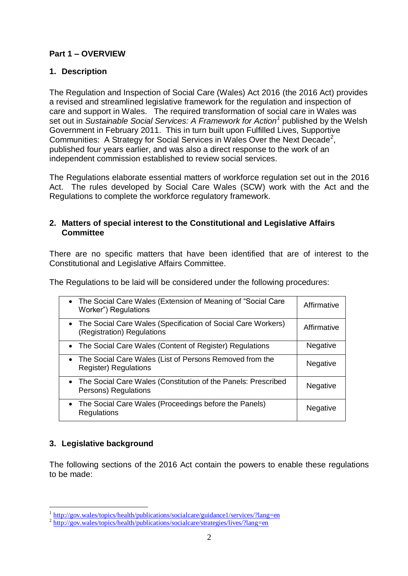## **Part 1 – OVERVIEW**

## **1. Description**

The Regulation and Inspection of Social Care (Wales) Act 2016 (the 2016 Act) provides a revised and streamlined legislative framework for the regulation and inspection of care and support in Wales. The required transformation of social care in Wales was set out in *Sustainable Social Services: A Framework for Action<sup>1</sup>* published by the Welsh Government in February 2011. This in turn built upon Fulfilled Lives, Supportive Communities: A Strategy for Social Services in Wales Over the Next Decade<sup>2</sup>, published four years earlier, and was also a direct response to the work of an independent commission established to review social services.

The Regulations elaborate essential matters of workforce regulation set out in the 2016 Act. The rules developed by Social Care Wales (SCW) work with the Act and the Regulations to complete the workforce regulatory framework.

### **2. Matters of special interest to the Constitutional and Legislative Affairs Committee**

There are no specific matters that have been identified that are of interest to the Constitutional and Legislative Affairs Committee.

The Regulations to be laid will be considered under the following procedures:

| • The Social Care Wales (Extension of Meaning of "Social Care"<br>Worker") Regulations       | Affirmative     |
|----------------------------------------------------------------------------------------------|-----------------|
| • The Social Care Wales (Specification of Social Care Workers)<br>(Registration) Regulations | Affirmative     |
| • The Social Care Wales (Content of Register) Regulations                                    | <b>Negative</b> |
| • The Social Care Wales (List of Persons Removed from the<br><b>Register) Regulations</b>    | <b>Negative</b> |
| • The Social Care Wales (Constitution of the Panels: Prescribed<br>Persons) Regulations      | <b>Negative</b> |
| • The Social Care Wales (Proceedings before the Panels)<br>Regulations                       | Negative        |

## **3. Legislative background**

The following sections of the 2016 Act contain the powers to enable these regulations to be made:

<sup>1&</sup>lt;br><http://gov.wales/topics/health/publications/socialcare/guidance1/services/?lang=en>

<sup>&</sup>lt;sup>2</sup> <http://gov.wales/topics/health/publications/socialcare/strategies/lives/?lang=en>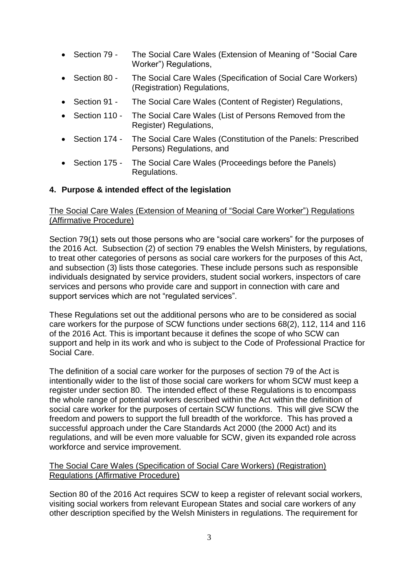- Section 79 The Social Care Wales (Extension of Meaning of "Social Care" Worker") Regulations,
- Section 80 The Social Care Wales (Specification of Social Care Workers) (Registration) Regulations,
- Section 91 The Social Care Wales (Content of Register) Regulations,
- Section 110 The Social Care Wales (List of Persons Removed from the Register) Regulations,
- Section 174 The Social Care Wales (Constitution of the Panels: Prescribed Persons) Regulations, and
- Section 175 The Social Care Wales (Proceedings before the Panels) Regulations.

### **4. Purpose & intended effect of the legislation**

### The Social Care Wales (Extension of Meaning of "Social Care Worker") Regulations (Affirmative Procedure)

Section 79(1) sets out those persons who are "social care workers" for the purposes of the 2016 Act. Subsection (2) of section 79 enables the Welsh Ministers, by regulations, to treat other categories of persons as social care workers for the purposes of this Act, and subsection (3) lists those categories. These include persons such as responsible individuals designated by service providers, student social workers, inspectors of care services and persons who provide care and support in connection with care and support services which are not "regulated services".

These Regulations set out the additional persons who are to be considered as social care workers for the purpose of SCW functions under sections 68(2), 112, 114 and 116 of the 2016 Act. This is important because it defines the scope of who SCW can support and help in its work and who is subject to the Code of Professional Practice for Social Care.

The definition of a social care worker for the purposes of section 79 of the Act is intentionally wider to the list of those social care workers for whom SCW must keep a register under section 80. The intended effect of these Regulations is to encompass the whole range of potential workers described within the Act within the definition of social care worker for the purposes of certain SCW functions. This will give SCW the freedom and powers to support the full breadth of the workforce. This has proved a successful approach under the Care Standards Act 2000 (the 2000 Act) and its regulations, and will be even more valuable for SCW, given its expanded role across workforce and service improvement.

### The Social Care Wales (Specification of Social Care Workers) (Registration) Regulations (Affirmative Procedure)

Section 80 of the 2016 Act requires SCW to keep a register of relevant social workers, visiting social workers from relevant European States and social care workers of any other description specified by the Welsh Ministers in regulations. The requirement for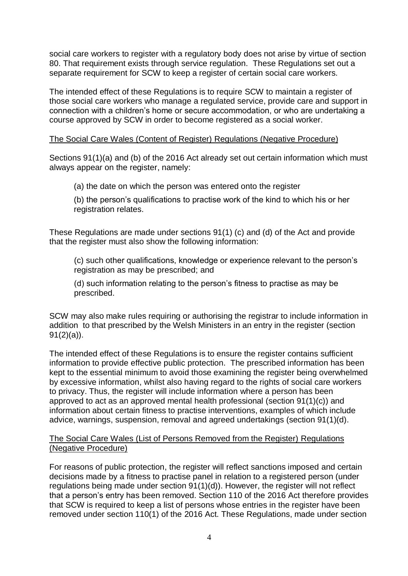social care workers to register with a regulatory body does not arise by virtue of section 80. That requirement exists through service regulation. These Regulations set out a separate requirement for SCW to keep a register of certain social care workers.

The intended effect of these Regulations is to require SCW to maintain a register of those social care workers who manage a regulated service, provide care and support in connection with a children's home or secure accommodation, or who are undertaking a course approved by SCW in order to become registered as a social worker.

### The Social Care Wales (Content of Register) Regulations (Negative Procedure)

Sections 91(1)(a) and (b) of the 2016 Act already set out certain information which must always appear on the register, namely:

(a) the date on which the person was entered onto the register

(b) the person's qualifications to practise work of the kind to which his or her registration relates.

These Regulations are made under sections 91(1) (c) and (d) of the Act and provide that the register must also show the following information:

(c) such other qualifications, knowledge or experience relevant to the person's registration as may be prescribed; and

(d) such information relating to the person's fitness to practise as may be prescribed.

SCW may also make rules requiring or authorising the registrar to include information in addition to that prescribed by the Welsh Ministers in an entry in the register (section  $91(2)(a)$ ).

The intended effect of these Regulations is to ensure the register contains sufficient information to provide effective public protection. The prescribed information has been kept to the essential minimum to avoid those examining the register being overwhelmed by excessive information, whilst also having regard to the rights of social care workers to privacy. Thus, the register will include information where a person has been approved to act as an approved mental health professional (section 91(1)(c)) and information about certain fitness to practise interventions, examples of which include advice, warnings, suspension, removal and agreed undertakings (section 91(1)(d).

### The Social Care Wales (List of Persons Removed from the Register) Regulations (Negative Procedure)

For reasons of public protection, the register will reflect sanctions imposed and certain decisions made by a fitness to practise panel in relation to a registered person (under regulations being made under section 91(1)(d)). However, the register will not reflect that a person's entry has been removed. Section 110 of the 2016 Act therefore provides that SCW is required to keep a list of persons whose entries in the register have been removed under section 110(1) of the 2016 Act. These Regulations, made under section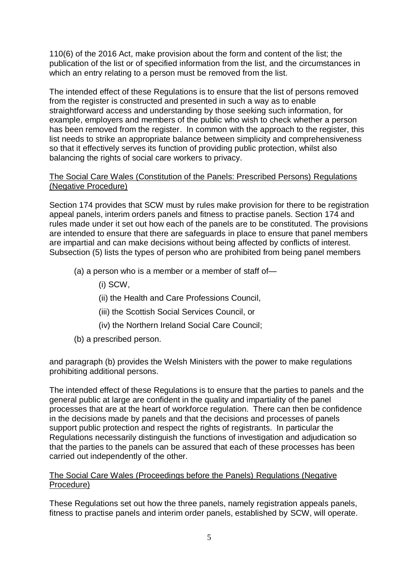110(6) of the 2016 Act, make provision about the form and content of the list; the publication of the list or of specified information from the list, and the circumstances in which an entry relating to a person must be removed from the list.

The intended effect of these Regulations is to ensure that the list of persons removed from the register is constructed and presented in such a way as to enable straightforward access and understanding by those seeking such information, for example, employers and members of the public who wish to check whether a person has been removed from the register. In common with the approach to the register, this list needs to strike an appropriate balance between simplicity and comprehensiveness so that it effectively serves its function of providing public protection, whilst also balancing the rights of social care workers to privacy.

### The Social Care Wales (Constitution of the Panels: Prescribed Persons) Regulations (Negative Procedure)

Section 174 provides that SCW must by rules make provision for there to be registration appeal panels, interim orders panels and fitness to practise panels. Section 174 and rules made under it set out how each of the panels are to be constituted. The provisions are intended to ensure that there are safeguards in place to ensure that panel members are impartial and can make decisions without being affected by conflicts of interest. Subsection (5) lists the types of person who are prohibited from being panel members

- (a) a person who is a member or a member of staff of—
	- (i) SCW,
	- (ii) the Health and Care Professions Council,
	- (iii) the Scottish Social Services Council, or
	- (iv) the Northern Ireland Social Care Council;
- (b) a prescribed person.

and paragraph (b) provides the Welsh Ministers with the power to make regulations prohibiting additional persons.

The intended effect of these Regulations is to ensure that the parties to panels and the general public at large are confident in the quality and impartiality of the panel processes that are at the heart of workforce regulation. There can then be confidence in the decisions made by panels and that the decisions and processes of panels support public protection and respect the rights of registrants. In particular the Regulations necessarily distinguish the functions of investigation and adjudication so that the parties to the panels can be assured that each of these processes has been carried out independently of the other.

#### The Social Care Wales (Proceedings before the Panels) Regulations (Negative Procedure)

These Regulations set out how the three panels, namely registration appeals panels, fitness to practise panels and interim order panels, established by SCW, will operate.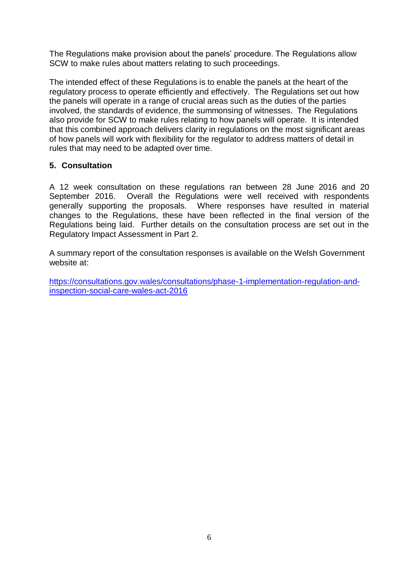The Regulations make provision about the panels' procedure. The Regulations allow SCW to make rules about matters relating to such proceedings.

The intended effect of these Regulations is to enable the panels at the heart of the regulatory process to operate efficiently and effectively. The Regulations set out how the panels will operate in a range of crucial areas such as the duties of the parties involved, the standards of evidence, the summonsing of witnesses. The Regulations also provide for SCW to make rules relating to how panels will operate. It is intended that this combined approach delivers clarity in regulations on the most significant areas of how panels will work with flexibility for the regulator to address matters of detail in rules that may need to be adapted over time.

## **5. Consultation**

A 12 week consultation on these regulations ran between 28 June 2016 and 20 September 2016. Overall the Regulations were well received with respondents generally supporting the proposals. Where responses have resulted in material changes to the Regulations, these have been reflected in the final version of the Regulations being laid. Further details on the consultation process are set out in the Regulatory Impact Assessment in Part 2.

A summary report of the consultation responses is available on the Welsh Government website at:

[https://consultations.gov.wales/consultations/phase-1-implementation-regulation-and](https://consultations.gov.wales/consultations/phase-1-implementation-regulation-and-inspection-social-care-wales-act-2016)[inspection-social-care-wales-act-2016](https://consultations.gov.wales/consultations/phase-1-implementation-regulation-and-inspection-social-care-wales-act-2016)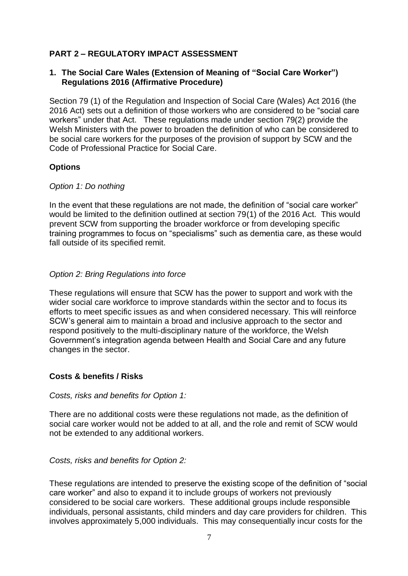## **PART 2 – REGULATORY IMPACT ASSESSMENT**

### **1. The Social Care Wales (Extension of Meaning of "Social Care Worker") Regulations 2016 (Affirmative Procedure)**

Section 79 (1) of the Regulation and Inspection of Social Care (Wales) Act 2016 (the 2016 Act) sets out a definition of those workers who are considered to be "social care workers" under that Act. These regulations made under section 79(2) provide the Welsh Ministers with the power to broaden the definition of who can be considered to be social care workers for the purposes of the provision of support by SCW and the Code of Professional Practice for Social Care.

### **Options**

### *Option 1: Do nothing*

In the event that these regulations are not made, the definition of "social care worker" would be limited to the definition outlined at section 79(1) of the 2016 Act. This would prevent SCW from supporting the broader workforce or from developing specific training programmes to focus on "specialisms" such as dementia care, as these would fall outside of its specified remit.

### *Option 2: Bring Regulations into force*

These regulations will ensure that SCW has the power to support and work with the wider social care workforce to improve standards within the sector and to focus its efforts to meet specific issues as and when considered necessary. This will reinforce SCW's general aim to maintain a broad and inclusive approach to the sector and respond positively to the multi-disciplinary nature of the workforce, the Welsh Government's integration agenda between Health and Social Care and any future changes in the sector.

### **Costs & benefits / Risks**

*Costs, risks and benefits for Option 1:*

There are no additional costs were these regulations not made, as the definition of social care worker would not be added to at all, and the role and remit of SCW would not be extended to any additional workers.

*Costs, risks and benefits for Option 2:*

These regulations are intended to preserve the existing scope of the definition of "social care worker" and also to expand it to include groups of workers not previously considered to be social care workers. These additional groups include responsible individuals, personal assistants, child minders and day care providers for children. This involves approximately 5,000 individuals. This may consequentially incur costs for the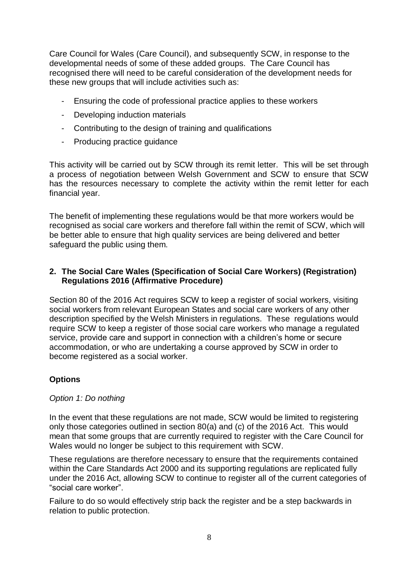Care Council for Wales (Care Council), and subsequently SCW, in response to the developmental needs of some of these added groups. The Care Council has recognised there will need to be careful consideration of the development needs for these new groups that will include activities such as:

- Ensuring the code of professional practice applies to these workers
- Developing induction materials
- Contributing to the design of training and qualifications
- Producing practice guidance

This activity will be carried out by SCW through its remit letter. This will be set through a process of negotiation between Welsh Government and SCW to ensure that SCW has the resources necessary to complete the activity within the remit letter for each financial year.

The benefit of implementing these regulations would be that more workers would be recognised as social care workers and therefore fall within the remit of SCW, which will be better able to ensure that high quality services are being delivered and better safeguard the public using them.

### **2. The Social Care Wales (Specification of Social Care Workers) (Registration) Regulations 2016 (Affirmative Procedure)**

Section 80 of the 2016 Act requires SCW to keep a register of social workers, visiting social workers from relevant European States and social care workers of any other description specified by the Welsh Ministers in regulations. These regulations would require SCW to keep a register of those social care workers who manage a regulated service, provide care and support in connection with a children's home or secure accommodation, or who are undertaking a course approved by SCW in order to become registered as a social worker.

## **Options**

### *Option 1: Do nothing*

In the event that these regulations are not made, SCW would be limited to registering only those categories outlined in section 80(a) and (c) of the 2016 Act. This would mean that some groups that are currently required to register with the Care Council for Wales would no longer be subject to this requirement with SCW.

These regulations are therefore necessary to ensure that the requirements contained within the Care Standards Act 2000 and its supporting regulations are replicated fully under the 2016 Act, allowing SCW to continue to register all of the current categories of "social care worker".

Failure to do so would effectively strip back the register and be a step backwards in relation to public protection.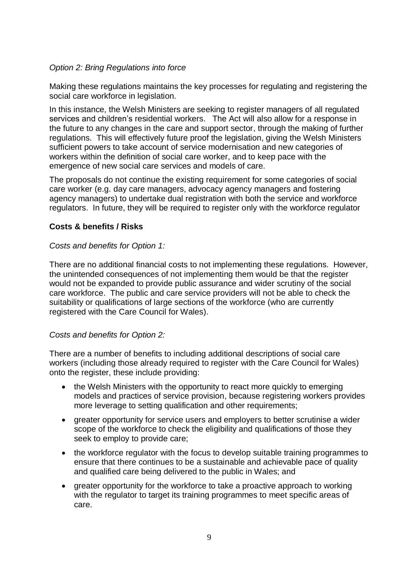## *Option 2: Bring Regulations into force*

Making these regulations maintains the key processes for regulating and registering the social care workforce in legislation.

In this instance, the Welsh Ministers are seeking to register managers of all regulated services and children's residential workers. The Act will also allow for a response in the future to any changes in the care and support sector, through the making of further regulations. This will effectively future proof the legislation, giving the Welsh Ministers sufficient powers to take account of service modernisation and new categories of workers within the definition of social care worker, and to keep pace with the emergence of new social care services and models of care.

The proposals do not continue the existing requirement for some categories of social care worker (e.g. day care managers, advocacy agency managers and fostering agency managers) to undertake dual registration with both the service and workforce regulators. In future, they will be required to register only with the workforce regulator

## **Costs & benefits / Risks**

### *Costs and benefits for Option 1:*

There are no additional financial costs to not implementing these regulations. However, the unintended consequences of not implementing them would be that the register would not be expanded to provide public assurance and wider scrutiny of the social care workforce. The public and care service providers will not be able to check the suitability or qualifications of large sections of the workforce (who are currently registered with the Care Council for Wales).

## *Costs and benefits for Option 2:*

There are a number of benefits to including additional descriptions of social care workers (including those already required to register with the Care Council for Wales) onto the register, these include providing:

- the Welsh Ministers with the opportunity to react more quickly to emerging models and practices of service provision, because registering workers provides more leverage to setting qualification and other requirements;
- greater opportunity for service users and employers to better scrutinise a wider scope of the workforce to check the eligibility and qualifications of those they seek to employ to provide care;
- the workforce regulator with the focus to develop suitable training programmes to ensure that there continues to be a sustainable and achievable pace of quality and qualified care being delivered to the public in Wales; and
- greater opportunity for the workforce to take a proactive approach to working with the regulator to target its training programmes to meet specific areas of care.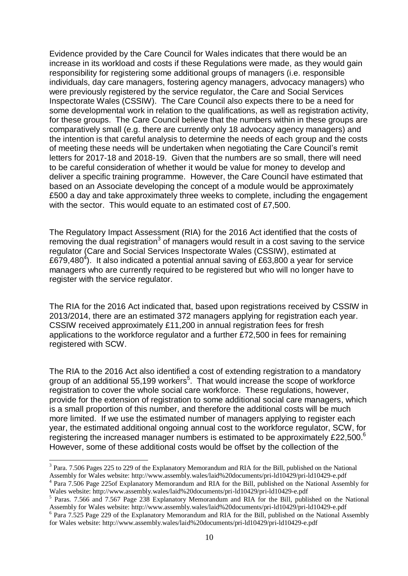Evidence provided by the Care Council for Wales indicates that there would be an increase in its workload and costs if these Regulations were made, as they would gain responsibility for registering some additional groups of managers (i.e. responsible individuals, day care managers, fostering agency managers, advocacy managers) who were previously registered by the service regulator, the Care and Social Services Inspectorate Wales (CSSIW). The Care Council also expects there to be a need for some developmental work in relation to the qualifications, as well as registration activity, for these groups. The Care Council believe that the numbers within in these groups are comparatively small (e.g. there are currently only 18 advocacy agency managers) and the intention is that careful analysis to determine the needs of each group and the costs of meeting these needs will be undertaken when negotiating the Care Council's remit letters for 2017-18 and 2018-19. Given that the numbers are so small, there will need to be careful consideration of whether it would be value for money to develop and deliver a specific training programme. However, the Care Council have estimated that based on an Associate developing the concept of a module would be approximately £500 a day and take approximately three weeks to complete, including the engagement with the sector. This would equate to an estimated cost of £7,500.

The Regulatory Impact Assessment (RIA) for the 2016 Act identified that the costs of removing the dual registration<sup>3</sup> of managers would result in a cost saving to the service regulator (Care and Social Services Inspectorate Wales (CSSIW), estimated at £679,480<sup>4</sup>). It also indicated a potential annual saving of £63,800 a year for service managers who are currently required to be registered but who will no longer have to register with the service regulator.

The RIA for the 2016 Act indicated that, based upon registrations received by CSSIW in 2013/2014, there are an estimated 372 managers applying for registration each year. CSSIW received approximately £11,200 in annual registration fees for fresh applications to the workforce regulator and a further £72,500 in fees for remaining registered with SCW.

The RIA to the 2016 Act also identified a cost of extending registration to a mandatory group of an additional 55,199 workers<sup>5</sup>. That would increase the scope of workforce registration to cover the whole social care workforce. These regulations, however, provide for the extension of registration to some additional social care managers, which is a small proportion of this number, and therefore the additional costs will be much more limited. If we use the estimated number of managers applying to register each year, the estimated additional ongoing annual cost to the workforce regulator, SCW, for registering the increased manager numbers is estimated to be approximately £22,500. $^6$ However, some of these additional costs would be offset by the collection of the

1

<sup>&</sup>lt;sup>3</sup> Para. 7.506 Pages 225 to 229 of the Explanatory Memorandum and RIA for the Bill, published on the National Assembly for Wales website: http://www.assembly.wales/laid%20documents/pri-ld10429/pri-ld10429-e.pdf <sup>4</sup> Para 7.506 Page 225of Explanatory Memorandum and RIA for the Bill, published on the National Assembly for

Wales website: http://www.assembly.wales/laid%20documents/pri-ld10429/pri-ld10429-e.pdf

<sup>&</sup>lt;sup>5</sup> Paras. 7.566 and 7.567 Page 238 Explanatory Memorandum and RIA for the Bill, published on the National Assembly for Wales website: http://www.assembly.wales/laid%20documents/pri-ld10429/pri-ld10429-e.pdf <sup>6</sup> Para 7.525 Page 229 of the Explanatory Memorandum and RIA for the Bill, published on the National Assembly for Wales website: http://www.assembly.wales/laid%20documents/pri-ld10429/pri-ld10429-e.pdf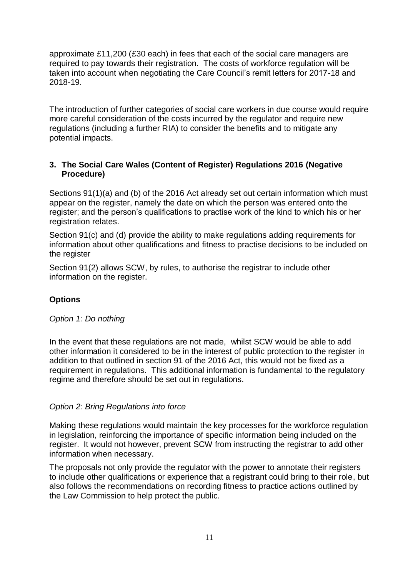approximate £11,200 (£30 each) in fees that each of the social care managers are required to pay towards their registration. The costs of workforce regulation will be taken into account when negotiating the Care Council's remit letters for 2017-18 and 2018-19.

The introduction of further categories of social care workers in due course would require more careful consideration of the costs incurred by the regulator and require new regulations (including a further RIA) to consider the benefits and to mitigate any potential impacts.

## **3. The Social Care Wales (Content of Register) Regulations 2016 (Negative Procedure)**

Sections 91(1)(a) and (b) of the 2016 Act already set out certain information which must appear on the register, namely the date on which the person was entered onto the register; and the person's qualifications to practise work of the kind to which his or her registration relates.

Section 91(c) and (d) provide the ability to make regulations adding requirements for information about other qualifications and fitness to practise decisions to be included on the register

Section 91(2) allows SCW, by rules, to authorise the registrar to include other information on the register.

## **Options**

### *Option 1: Do nothing*

In the event that these regulations are not made, whilst SCW would be able to add other information it considered to be in the interest of public protection to the register in addition to that outlined in section 91 of the 2016 Act, this would not be fixed as a requirement in regulations. This additional information is fundamental to the regulatory regime and therefore should be set out in regulations.

### *Option 2: Bring Regulations into force*

Making these regulations would maintain the key processes for the workforce regulation in legislation, reinforcing the importance of specific information being included on the register. It would not however, prevent SCW from instructing the registrar to add other information when necessary.

The proposals not only provide the regulator with the power to annotate their registers to include other qualifications or experience that a registrant could bring to their role, but also follows the recommendations on recording fitness to practice actions outlined by the Law Commission to help protect the public.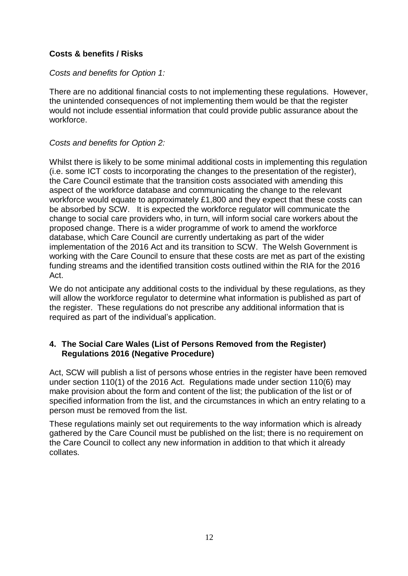## **Costs & benefits / Risks**

### *Costs and benefits for Option 1:*

There are no additional financial costs to not implementing these regulations. However, the unintended consequences of not implementing them would be that the register would not include essential information that could provide public assurance about the workforce.

### *Costs and benefits for Option 2:*

Whilst there is likely to be some minimal additional costs in implementing this regulation (i.e. some ICT costs to incorporating the changes to the presentation of the register), the Care Council estimate that the transition costs associated with amending this aspect of the workforce database and communicating the change to the relevant workforce would equate to approximately £1,800 and they expect that these costs can be absorbed by SCW. It is expected the workforce regulator will communicate the change to social care providers who, in turn, will inform social care workers about the proposed change. There is a wider programme of work to amend the workforce database, which Care Council are currently undertaking as part of the wider implementation of the 2016 Act and its transition to SCW. The Welsh Government is working with the Care Council to ensure that these costs are met as part of the existing funding streams and the identified transition costs outlined within the RIA for the 2016 Act.

We do not anticipate any additional costs to the individual by these regulations, as they will allow the workforce regulator to determine what information is published as part of the register. These regulations do not prescribe any additional information that is required as part of the individual's application.

## **4. The Social Care Wales (List of Persons Removed from the Register) Regulations 2016 (Negative Procedure)**

Act, SCW will publish a list of persons whose entries in the register have been removed under section 110(1) of the 2016 Act. Regulations made under section 110(6) may make provision about the form and content of the list; the publication of the list or of specified information from the list, and the circumstances in which an entry relating to a person must be removed from the list.

These regulations mainly set out requirements to the way information which is already gathered by the Care Council must be published on the list; there is no requirement on the Care Council to collect any new information in addition to that which it already collates.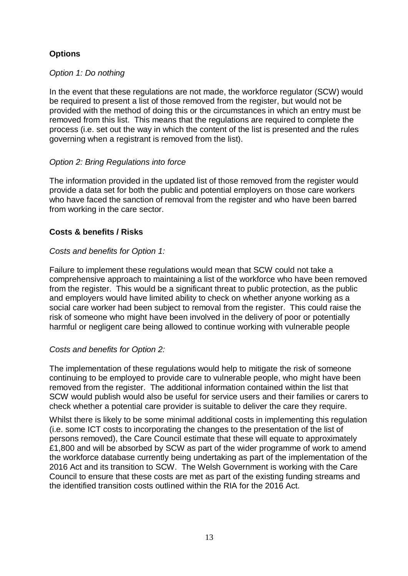# **Options**

### *Option 1: Do nothing*

In the event that these regulations are not made, the workforce regulator (SCW) would be required to present a list of those removed from the register, but would not be provided with the method of doing this or the circumstances in which an entry must be removed from this list. This means that the regulations are required to complete the process (i.e. set out the way in which the content of the list is presented and the rules governing when a registrant is removed from the list).

### *Option 2: Bring Regulations into force*

The information provided in the updated list of those removed from the register would provide a data set for both the public and potential employers on those care workers who have faced the sanction of removal from the register and who have been barred from working in the care sector.

### **Costs & benefits / Risks**

### *Costs and benefits for Option 1:*

Failure to implement these regulations would mean that SCW could not take a comprehensive approach to maintaining a list of the workforce who have been removed from the register. This would be a significant threat to public protection, as the public and employers would have limited ability to check on whether anyone working as a social care worker had been subject to removal from the register. This could raise the risk of someone who might have been involved in the delivery of poor or potentially harmful or negligent care being allowed to continue working with vulnerable people

### *Costs and benefits for Option 2:*

The implementation of these regulations would help to mitigate the risk of someone continuing to be employed to provide care to vulnerable people, who might have been removed from the register. The additional information contained within the list that SCW would publish would also be useful for service users and their families or carers to check whether a potential care provider is suitable to deliver the care they require.

Whilst there is likely to be some minimal additional costs in implementing this regulation (i.e. some ICT costs to incorporating the changes to the presentation of the list of persons removed), the Care Council estimate that these will equate to approximately £1,800 and will be absorbed by SCW as part of the wider programme of work to amend the workforce database currently being undertaking as part of the implementation of the 2016 Act and its transition to SCW. The Welsh Government is working with the Care Council to ensure that these costs are met as part of the existing funding streams and the identified transition costs outlined within the RIA for the 2016 Act.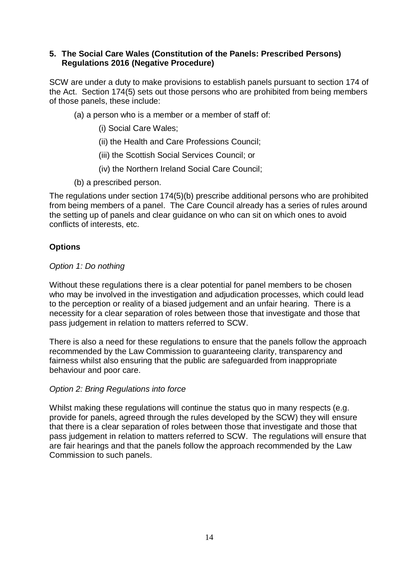### **5. The Social Care Wales (Constitution of the Panels: Prescribed Persons) Regulations 2016 (Negative Procedure)**

SCW are under a duty to make provisions to establish panels pursuant to section 174 of the Act. Section 174(5) sets out those persons who are prohibited from being members of those panels, these include:

- (a) a person who is a member or a member of staff of:
	- (i) Social Care Wales;
	- (ii) the Health and Care Professions Council;
	- (iii) the Scottish Social Services Council; or
	- (iv) the Northern Ireland Social Care Council;
- (b) a prescribed person.

The regulations under section 174(5)(b) prescribe additional persons who are prohibited from being members of a panel. The Care Council already has a series of rules around the setting up of panels and clear guidance on who can sit on which ones to avoid conflicts of interests, etc.

## **Options**

### *Option 1: Do nothing*

Without these regulations there is a clear potential for panel members to be chosen who may be involved in the investigation and adjudication processes, which could lead to the perception or reality of a biased judgement and an unfair hearing. There is a necessity for a clear separation of roles between those that investigate and those that pass judgement in relation to matters referred to SCW.

There is also a need for these regulations to ensure that the panels follow the approach recommended by the Law Commission to guaranteeing clarity, transparency and fairness whilst also ensuring that the public are safeguarded from inappropriate behaviour and poor care.

## *Option 2: Bring Regulations into force*

Whilst making these regulations will continue the status quo in many respects (e.g. provide for panels, agreed through the rules developed by the SCW) they will ensure that there is a clear separation of roles between those that investigate and those that pass judgement in relation to matters referred to SCW. The regulations will ensure that are fair hearings and that the panels follow the approach recommended by the Law Commission to such panels.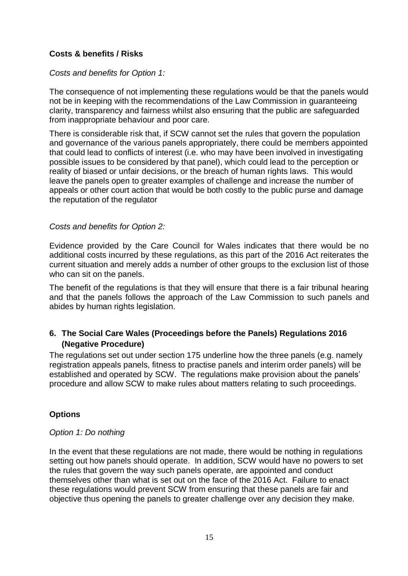## **Costs & benefits / Risks**

### *Costs and benefits for Option 1:*

The consequence of not implementing these regulations would be that the panels would not be in keeping with the recommendations of the Law Commission in guaranteeing clarity, transparency and fairness whilst also ensuring that the public are safeguarded from inappropriate behaviour and poor care.

There is considerable risk that, if SCW cannot set the rules that govern the population and governance of the various panels appropriately, there could be members appointed that could lead to conflicts of interest (i.e. who may have been involved in investigating possible issues to be considered by that panel), which could lead to the perception or reality of biased or unfair decisions, or the breach of human rights laws. This would leave the panels open to greater examples of challenge and increase the number of appeals or other court action that would be both costly to the public purse and damage the reputation of the regulator

### *Costs and benefits for Option 2:*

Evidence provided by the Care Council for Wales indicates that there would be no additional costs incurred by these regulations, as this part of the 2016 Act reiterates the current situation and merely adds a number of other groups to the exclusion list of those who can sit on the panels.

The benefit of the regulations is that they will ensure that there is a fair tribunal hearing and that the panels follows the approach of the Law Commission to such panels and abides by human rights legislation.

## **6. The Social Care Wales (Proceedings before the Panels) Regulations 2016 (Negative Procedure)**

The regulations set out under section 175 underline how the three panels (e.g. namely registration appeals panels, fitness to practise panels and interim order panels) will be established and operated by SCW. The regulations make provision about the panels' procedure and allow SCW to make rules about matters relating to such proceedings.

### **Options**

### *Option 1: Do nothing*

In the event that these regulations are not made, there would be nothing in regulations setting out how panels should operate. In addition, SCW would have no powers to set the rules that govern the way such panels operate, are appointed and conduct themselves other than what is set out on the face of the 2016 Act. Failure to enact these regulations would prevent SCW from ensuring that these panels are fair and objective thus opening the panels to greater challenge over any decision they make.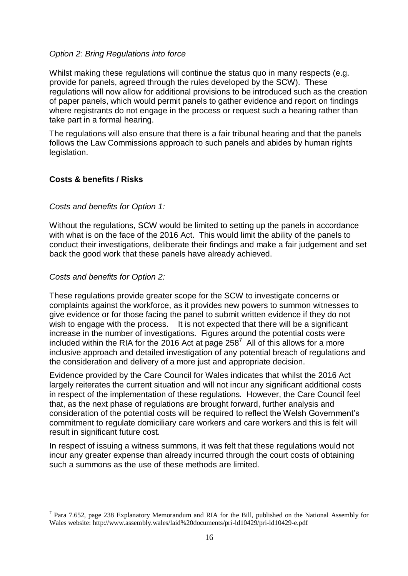### *Option 2: Bring Regulations into force*

Whilst making these regulations will continue the status quo in many respects (e.g. provide for panels, agreed through the rules developed by the SCW). These regulations will now allow for additional provisions to be introduced such as the creation of paper panels, which would permit panels to gather evidence and report on findings where registrants do not engage in the process or request such a hearing rather than take part in a formal hearing.

The regulations will also ensure that there is a fair tribunal hearing and that the panels follows the Law Commissions approach to such panels and abides by human rights legislation.

## **Costs & benefits / Risks**

### *Costs and benefits for Option 1:*

Without the regulations, SCW would be limited to setting up the panels in accordance with what is on the face of the 2016 Act. This would limit the ability of the panels to conduct their investigations, deliberate their findings and make a fair judgement and set back the good work that these panels have already achieved.

### *Costs and benefits for Option 2:*

1

These regulations provide greater scope for the SCW to investigate concerns or complaints against the workforce, as it provides new powers to summon witnesses to give evidence or for those facing the panel to submit written evidence if they do not wish to engage with the process. It is not expected that there will be a significant increase in the number of investigations. Figures around the potential costs were included within the RIA for the 2016 Act at page 258 $^7$  All of this allows for a more inclusive approach and detailed investigation of any potential breach of regulations and the consideration and delivery of a more just and appropriate decision.

Evidence provided by the Care Council for Wales indicates that whilst the 2016 Act largely reiterates the current situation and will not incur any significant additional costs in respect of the implementation of these regulations. However, the Care Council feel that, as the next phase of regulations are brought forward, further analysis and consideration of the potential costs will be required to reflect the Welsh Government's commitment to regulate domiciliary care workers and care workers and this is felt will result in significant future cost.

In respect of issuing a witness summons, it was felt that these regulations would not incur any greater expense than already incurred through the court costs of obtaining such a summons as the use of these methods are limited.

<sup>&</sup>lt;sup>7</sup> Para 7.652, page 238 Explanatory Memorandum and RIA for the Bill, published on the National Assembly for Wales website: http://www.assembly.wales/laid%20documents/pri-ld10429/pri-ld10429-e.pdf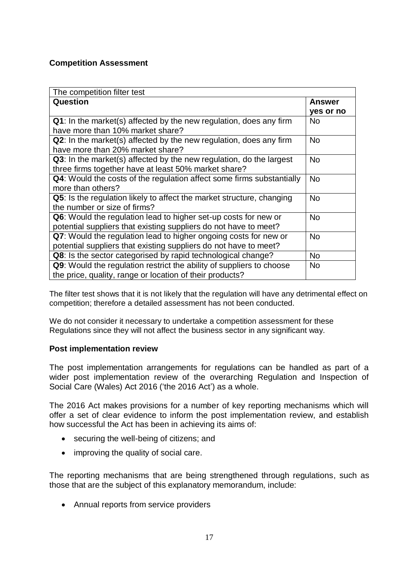### **Competition Assessment**

| The competition filter test                                                                                                          |                            |  |
|--------------------------------------------------------------------------------------------------------------------------------------|----------------------------|--|
| Question                                                                                                                             | <b>Answer</b><br>yes or no |  |
| <b>Q1</b> : In the market(s) affected by the new regulation, does any firm<br>have more than 10% market share?                       | <b>No</b>                  |  |
| Q2: In the market(s) affected by the new regulation, does any firm<br>have more than 20% market share?                               | <b>No</b>                  |  |
| Q3: In the market(s) affected by the new regulation, do the largest<br>three firms together have at least 50% market share?          | <b>No</b>                  |  |
| <b>Q4:</b> Would the costs of the regulation affect some firms substantially<br>more than others?                                    | <b>No</b>                  |  |
| Q5: Is the regulation likely to affect the market structure, changing<br>the number or size of firms?                                | <b>No</b>                  |  |
| Q6: Would the regulation lead to higher set-up costs for new or<br>potential suppliers that existing suppliers do not have to meet?  | <b>No</b>                  |  |
| Q7: Would the regulation lead to higher ongoing costs for new or<br>potential suppliers that existing suppliers do not have to meet? | <b>No</b>                  |  |
| Q8: Is the sector categorised by rapid technological change?                                                                         | <b>No</b>                  |  |
| Q9: Would the regulation restrict the ability of suppliers to choose<br>the price, quality, range or location of their products?     | <b>No</b>                  |  |

The filter test shows that it is not likely that the regulation will have any detrimental effect on competition; therefore a detailed assessment has not been conducted.

We do not consider it necessary to undertake a competition assessment for these Regulations since they will not affect the business sector in any significant way.

### **Post implementation review**

The post implementation arrangements for regulations can be handled as part of a wider post implementation review of the overarching Regulation and Inspection of Social Care (Wales) Act 2016 ('the 2016 Act') as a whole.

The 2016 Act makes provisions for a number of key reporting mechanisms which will offer a set of clear evidence to inform the post implementation review, and establish how successful the Act has been in achieving its aims of:

- securing the well-being of citizens; and
- improving the quality of social care.

The reporting mechanisms that are being strengthened through regulations, such as those that are the subject of this explanatory memorandum, include:

• Annual reports from service providers